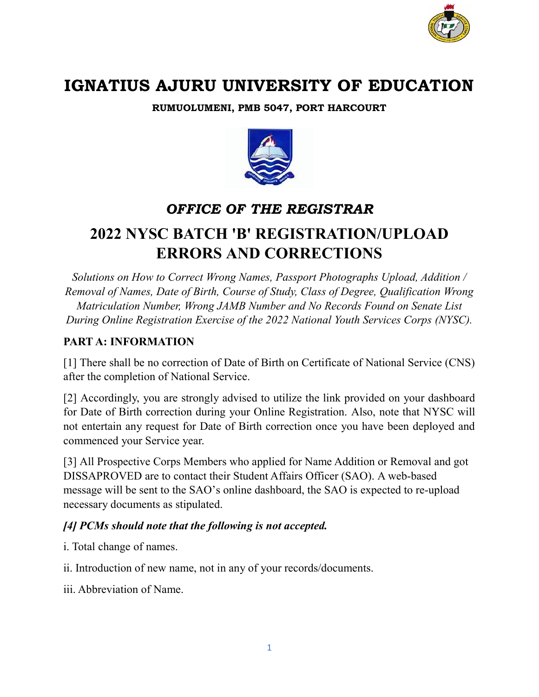

# **IGNATIUS AJURU UNIVERSITY OF EDUCATION**

**RUMUOLUMENI, PMB 5047, PORT HARCOURT** 



## *OFFICE OF THE REGISTRAR*

# **2022 NYSC BATCH 'B' REGISTRATION/UPLOAD ERRORS AND CORRECTIONS**

*Solutions on How to Correct Wrong Names, Passport Photographs Upload, Addition / Removal of Names, Date of Birth, Course of Study, Class of Degree, Qualification Wrong Matriculation Number, Wrong JAMB Number and No Records Found on Senate List During Online Registration Exercise of the 2022 National Youth Services Corps (NYSC).*

## **PART A: INFORMATION**

[1] There shall be no correction of Date of Birth on Certificate of National Service (CNS) after the completion of National Service.

[2] Accordingly, you are strongly advised to utilize the link provided on your dashboard for Date of Birth correction during your Online Registration. Also, note that NYSC will not entertain any request for Date of Birth correction once you have been deployed and commenced your Service year.

[3] All Prospective Corps Members who applied for Name Addition or Removal and got DISSAPROVED are to contact their Student Affairs Officer (SAO). A web-based message will be sent to the SAO's online dashboard, the SAO is expected to re-upload necessary documents as stipulated.

## *[4] PCMs should note that the following is not accepted.*

i. Total change of names.

ii. Introduction of new name, not in any of your records/documents.

iii. Abbreviation of Name.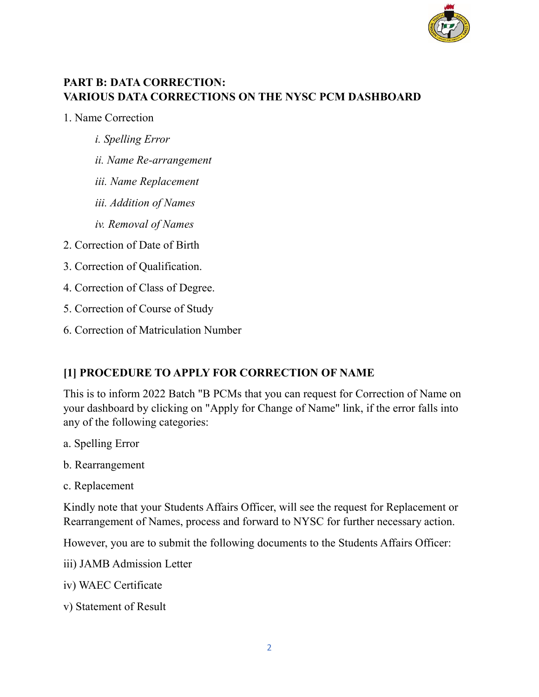

## **PART B: DATA CORRECTION: VARIOUS DATA CORRECTIONS ON THE NYSC PCM DASHBOARD**

1. Name Correction

- *i. Spelling Error*
- *ii. Name Re-arrangement*
- *iii. Name Replacement*
- *iii. Addition of Names*
- *iv. Removal of Names*
- 2. Correction of Date of Birth
- 3. Correction of Qualification.
- 4. Correction of Class of Degree.
- 5. Correction of Course of Study
- 6. Correction of Matriculation Number

#### **[1] PROCEDURE TO APPLY FOR CORRECTION OF NAME**

This is to inform 2022 Batch "B PCMs that you can request for Correction of Name on your dashboard by clicking on "Apply for Change of Name" link, if the error falls into any of the following categories:

- a. Spelling Error
- b. Rearrangement
- c. Replacement

Kindly note that your Students Affairs Officer, will see the request for Replacement or Rearrangement of Names, process and forward to NYSC for further necessary action.

However, you are to submit the following documents to the Students Affairs Officer:

- iii) JAMB Admission Letter
- iv) WAEC Certificate
- v) Statement of Result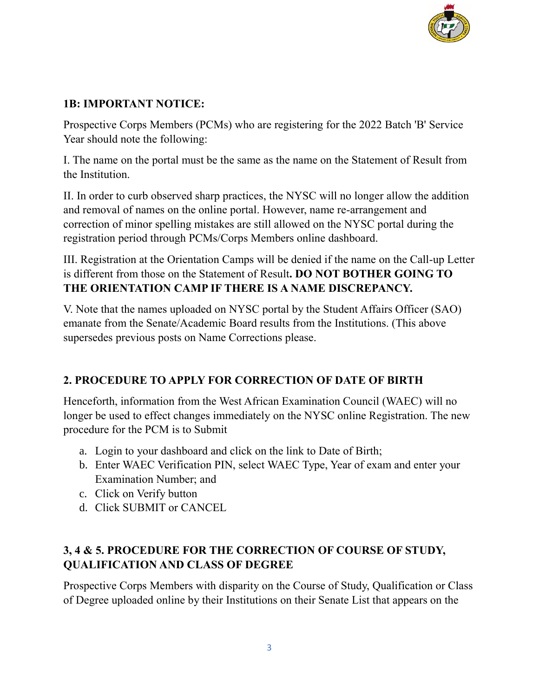

## **1B: IMPORTANT NOTICE:**

Prospective Corps Members (PCMs) who are registering for the 2022 Batch 'B' Service Year should note the following:

I. The name on the portal must be the same as the name on the Statement of Result from the Institution.

II. In order to curb observed sharp practices, the NYSC will no longer allow the addition and removal of names on the online portal. However, name re-arrangement and correction of minor spelling mistakes are still allowed on the NYSC portal during the registration period through PCMs/Corps Members online dashboard.

III. Registration at the Orientation Camps will be denied if the name on the Call-up Letter is different from those on the Statement of Result**. DO NOT BOTHER GOING TO THE ORIENTATION CAMP IF THERE IS A NAME DISCREPANCY.**

V. Note that the names uploaded on NYSC portal by the Student Affairs Officer (SAO) emanate from the Senate/Academic Board results from the Institutions. (This above supersedes previous posts on Name Corrections please.

## **2. PROCEDURE TO APPLY FOR CORRECTION OF DATE OF BIRTH**

Henceforth, information from the West African Examination Council (WAEC) will no longer be used to effect changes immediately on the NYSC online Registration. The new procedure for the PCM is to Submit

- a. Login to your dashboard and click on the link to Date of Birth;
- b. Enter WAEC Verification PIN, select WAEC Type, Year of exam and enter your Examination Number; and
- c. Click on Verify button
- d. Click SUBMIT or CANCEL

## **3, 4 & 5. PROCEDURE FOR THE CORRECTION OF COURSE OF STUDY, QUALIFICATION AND CLASS OF DEGREE**

Prospective Corps Members with disparity on the Course of Study, Qualification or Class of Degree uploaded online by their Institutions on their Senate List that appears on the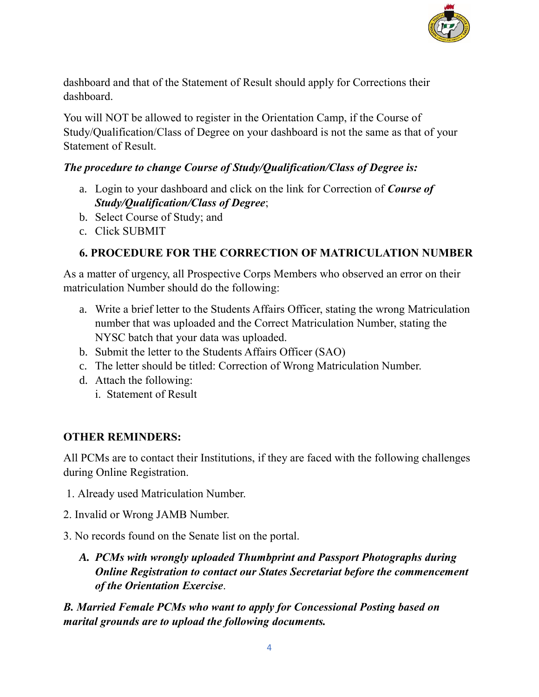

dashboard and that of the Statement of Result should apply for Corrections their dashboard.

You will NOT be allowed to register in the Orientation Camp, if the Course of Study/Qualification/Class of Degree on your dashboard is not the same as that of your Statement of Result.

## *The procedure to change Course of Study/Qualification/Class of Degree is:*

- a. Login to your dashboard and click on the link for Correction of *Course of Study/Qualification/Class of Degree*;
- b. Select Course of Study; and
- c. Click SUBMIT

## **6. PROCEDURE FOR THE CORRECTION OF MATRICULATION NUMBER**

As a matter of urgency, all Prospective Corps Members who observed an error on their matriculation Number should do the following:

- a. Write a brief letter to the Students Affairs Officer, stating the wrong Matriculation number that was uploaded and the Correct Matriculation Number, stating the NYSC batch that your data was uploaded.
- b. Submit the letter to the Students Affairs Officer (SAO)
- c. The letter should be titled: Correction of Wrong Matriculation Number.
- d. Attach the following:
	- i. Statement of Result

## **OTHER REMINDERS:**

All PCMs are to contact their Institutions, if they are faced with the following challenges during Online Registration.

- 1. Already used Matriculation Number.
- 2. Invalid or Wrong JAMB Number.
- 3. No records found on the Senate list on the portal.
	- *A. PCMs with wrongly uploaded Thumbprint and Passport Photographs during Online Registration to contact our States Secretariat before the commencement of the Orientation Exercise*.

*B. Married Female PCMs who want to apply for Concessional Posting based on marital grounds are to upload the following documents.*